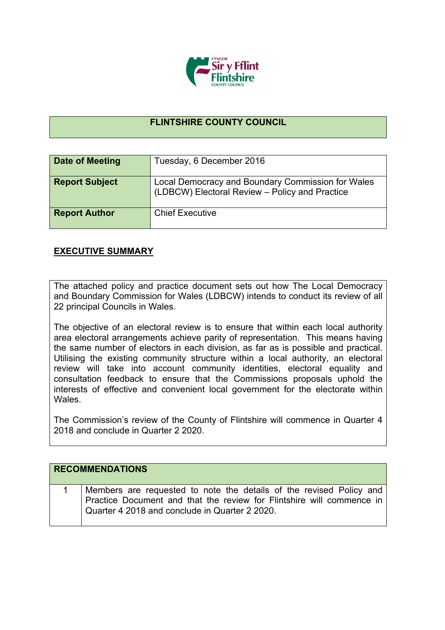

## **FLINTSHIRE COUNTY COUNCIL**

| Date of Meeting       | Tuesday, 6 December 2016                                                                            |
|-----------------------|-----------------------------------------------------------------------------------------------------|
| <b>Report Subject</b> | Local Democracy and Boundary Commission for Wales<br>(LDBCW) Electoral Review - Policy and Practice |
| <b>Report Author</b>  | <b>Chief Executive</b>                                                                              |

## **EXECUTIVE SUMMARY**

The attached policy and practice document sets out how The Local Democracy and Boundary Commission for Wales (LDBCW) intends to conduct its review of all 22 principal Councils in Wales.

The objective of an electoral review is to ensure that within each local authority area electoral arrangements achieve parity of representation. This means having the same number of electors in each division, as far as is possible and practical. Utilising the existing community structure within a local authority, an electoral review will take into account community identities, electoral equality and consultation feedback to ensure that the Commissions proposals uphold the interests of effective and convenient local government for the electorate within Wales.

The Commission's review of the County of Flintshire will commence in Quarter 4 2018 and conclude in Quarter 2 2020.

| <b>RECOMMENDATIONS</b> |                                                                                                                                                                                                |
|------------------------|------------------------------------------------------------------------------------------------------------------------------------------------------------------------------------------------|
|                        |                                                                                                                                                                                                |
|                        | Members are requested to note the details of the revised Policy and<br>Practice Document and that the review for Flintshire will commence in<br>Quarter 4 2018 and conclude in Quarter 2 2020. |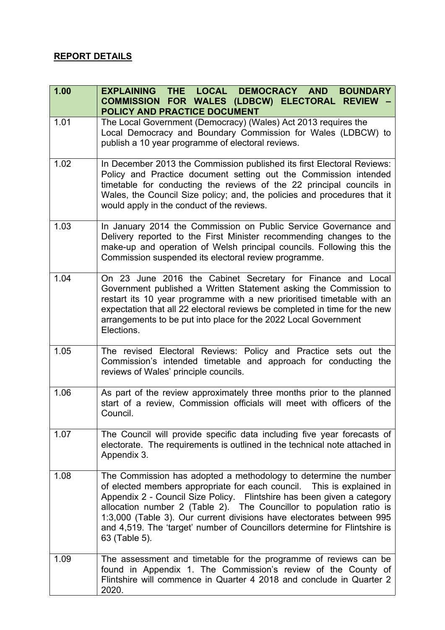## **REPORT DETAILS**

| 1.00 | LOCAL DEMOCRACY AND<br><b>EXPLAINING THE</b><br><b>BOUNDARY</b><br>COMMISSION FOR WALES (LDBCW) ELECTORAL REVIEW<br>POLICY AND PRACTICE DOCUMENT                                                                                                                                                                                                                                                                                                                    |
|------|---------------------------------------------------------------------------------------------------------------------------------------------------------------------------------------------------------------------------------------------------------------------------------------------------------------------------------------------------------------------------------------------------------------------------------------------------------------------|
| 1.01 | The Local Government (Democracy) (Wales) Act 2013 requires the<br>Local Democracy and Boundary Commission for Wales (LDBCW) to<br>publish a 10 year programme of electoral reviews.                                                                                                                                                                                                                                                                                 |
| 1.02 | In December 2013 the Commission published its first Electoral Reviews:<br>Policy and Practice document setting out the Commission intended<br>timetable for conducting the reviews of the 22 principal councils in<br>Wales, the Council Size policy; and, the policies and procedures that it<br>would apply in the conduct of the reviews.                                                                                                                        |
| 1.03 | In January 2014 the Commission on Public Service Governance and<br>Delivery reported to the First Minister recommending changes to the<br>make-up and operation of Welsh principal councils. Following this the<br>Commission suspended its electoral review programme.                                                                                                                                                                                             |
| 1.04 | On 23 June 2016 the Cabinet Secretary for Finance and Local<br>Government published a Written Statement asking the Commission to<br>restart its 10 year programme with a new prioritised timetable with an<br>expectation that all 22 electoral reviews be completed in time for the new<br>arrangements to be put into place for the 2022 Local Government<br>Elections.                                                                                           |
| 1.05 | The revised Electoral Reviews: Policy and Practice sets out the<br>Commission's intended timetable and approach for conducting the<br>reviews of Wales' principle councils.                                                                                                                                                                                                                                                                                         |
| 1.06 | As part of the review approximately three months prior to the planned<br>start of a review, Commission officials will meet with officers of the<br>Council.                                                                                                                                                                                                                                                                                                         |
| 1.07 | The Council will provide specific data including five year forecasts of<br>electorate. The requirements is outlined in the technical note attached in<br>Appendix 3.                                                                                                                                                                                                                                                                                                |
| 1.08 | The Commission has adopted a methodology to determine the number<br>of elected members appropriate for each council.  This is explained in<br>Appendix 2 - Council Size Policy. Flintshire has been given a category<br>allocation number 2 (Table 2). The Councillor to population ratio is<br>1:3,000 (Table 3). Our current divisions have electorates between 995<br>and 4,519. The 'target' number of Councillors determine for Flintshire is<br>63 (Table 5). |
| 1.09 | The assessment and timetable for the programme of reviews can be<br>found in Appendix 1. The Commission's review of the County of<br>Flintshire will commence in Quarter 4 2018 and conclude in Quarter 2<br>2020.                                                                                                                                                                                                                                                  |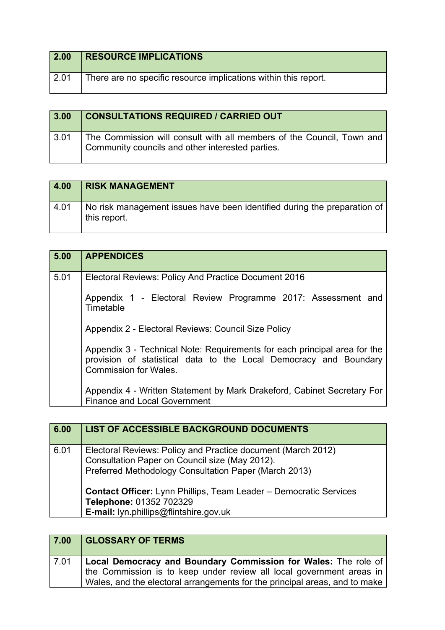| 2.00 | <b>RESOURCE IMPLICATIONS</b>                                    |
|------|-----------------------------------------------------------------|
| 2.01 | There are no specific resource implications within this report. |

| 3.00 | <b>CONSULTATIONS REQUIRED / CARRIED OUT</b>                                                                               |
|------|---------------------------------------------------------------------------------------------------------------------------|
| 3.01 | The Commission will consult with all members of the Council, Town and<br>Community councils and other interested parties. |

| 4.00 | <b>RISK MANAGEMENT</b>                                                                   |
|------|------------------------------------------------------------------------------------------|
| 4.01 | No risk management issues have been identified during the preparation of<br>this report. |

| 5.00 | <b>APPENDICES</b>                                                                                                                                                              |
|------|--------------------------------------------------------------------------------------------------------------------------------------------------------------------------------|
| 5.01 | Electoral Reviews: Policy And Practice Document 2016                                                                                                                           |
|      | Appendix 1 - Electoral Review Programme 2017: Assessment and<br>Timetable                                                                                                      |
|      | Appendix 2 - Electoral Reviews: Council Size Policy                                                                                                                            |
|      | Appendix 3 - Technical Note: Requirements for each principal area for the<br>provision of statistical data to the Local Democracy and Boundary<br><b>Commission for Wales.</b> |
|      | Appendix 4 - Written Statement by Mark Drakeford, Cabinet Secretary For<br><b>Finance and Local Government</b>                                                                 |

| 6.00 | LIST OF ACCESSIBLE BACKGROUND DOCUMENTS                                                                                                                                                                                                                                                                                  |
|------|--------------------------------------------------------------------------------------------------------------------------------------------------------------------------------------------------------------------------------------------------------------------------------------------------------------------------|
| 6.01 | Electoral Reviews: Policy and Practice document (March 2012)<br>Consultation Paper on Council size (May 2012).<br>Preferred Methodology Consultation Paper (March 2013)<br><b>Contact Officer:</b> Lynn Phillips, Team Leader - Democratic Services<br>Telephone: 01352 702329<br>E-mail: lyn.phillips@flintshire.gov.uk |

## **7.00 GLOSSARY OF TERMS**

| 7.01 | Local Democracy and Boundary Commission for Wales: The role of             |
|------|----------------------------------------------------------------------------|
|      | the Commission is to keep under review all local government areas in       |
|      | Wales, and the electoral arrangements for the principal areas, and to make |